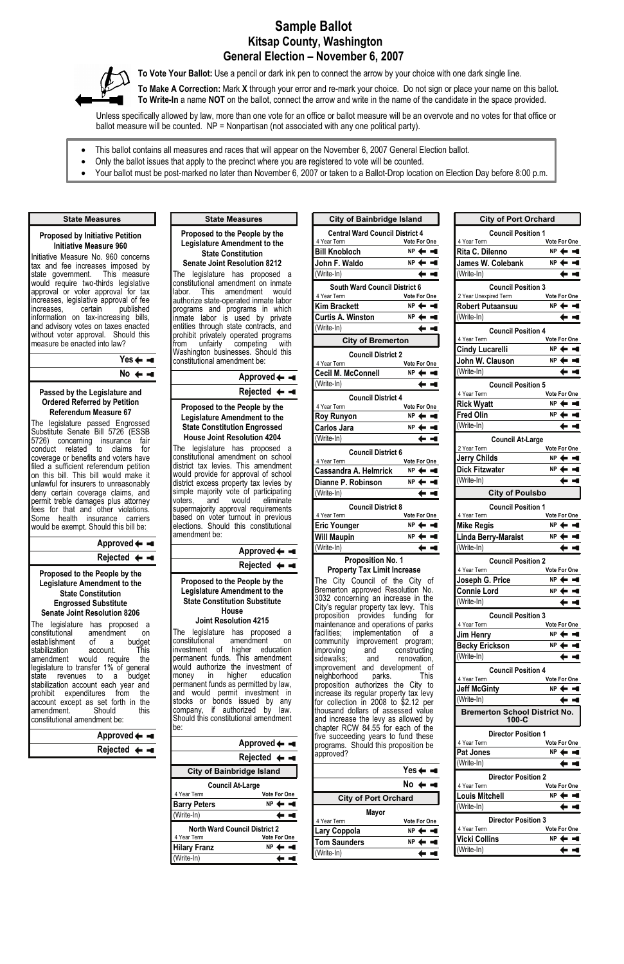# **Sample Ballot Kitsap County, Washington General Election – November 6, 2007**



**To Vote Your Ballot:** Use a pencil or dark ink pen to connect the arrow by your choice with one dark single line.

**To Make A Correction:** Mark **X** through your error and re-mark your choice. Do not sign or place your name on this ballot. **To Write-In** a name **NOT** on the ballot, connect the arrow and write in the name of the candidate in the space provided.

Unless specifically allowed by law, more than one vote for an office or ballot measure will be an overvote and no votes for that office or ballot measure will be counted. NP = Nonpartisan (not associated with any one political party).

### **Yes**  $No \leftarrow -$

- This ballot contains all measures and races that will appear on the November 6, 2007 General Election ballot.
- Only the ballot issues that apply to the precinct where you are registered to vote will be counted.
- Your ballot must be post-marked no later than November 6, 2007 or taken to a Ballot-Drop location on Election Day before 8:00 p.m.

#### **Proposed by Initiative Petition Initiative Measure 960**

The legislature has proposed a constitutional amendment on establishment of a budget<br>stabilization account. This stabilization account. amendment would require the legislature to transfer 1% of general state revenues to a budget stabilization account each year and prohibit expenditures from the account except as set forth in the amendment.

constitutional amen

Initiative Measure No. 960 concerns tax and fee increases imposed by state government. This measure would require two-thirds legislative approval or voter approval for tax increases, legislative approval of fee increases, certain published information on tax-increasing bills, and advisory votes on taxes enacted without voter approval. Should this measure be enacted into law?

#### **State Measures**

### **Passed by the Legislature and Ordered Referred by Petition Referendum Measure 67**

The legislature passed Engrossed Substitute Senate Bill 5726 (ESSB 5726) concerning insurance fair conduct related to claims for coverage or benefits and voters have filed a sufficient referendum petition on this bill. This bill would make it unlawful for insurers to unreasonably deny certain coverage claims, and permit treble damages plus attorney fees for that and other violations. Some health insurance carriers would be exempt. Should this bill be:

> The legislature has proposed a constitutional amendment on investment of higher education permanent funds. This amendment would authorize the investment of<br>money in higher education money in higher education permanent funds as permitted by law, and would permit investment in stocks or bonds issued by any

## **Approved**

### **Rejected**

#### **Proposed to the People by the Legislature Amendment to the State Constitution Engrossed Substitute Senate Joint Resolution 8206**

#### **Proposed to the People by the Legislature Amendment to the State Constitution Senate Joint Resolution 8212**

improving and constructing<br>sidewalks; and renovation, sidewalks; and renovation, improvement and development of<br>neighborhood parks. This neighborhood parks. This proposition authorizes the City to increase its regular property tax levy

The legislature has proposed a constitutional amendment on inmate labor. This amendment would authorize state-operated inmate labor programs and programs in which inmate labor is used by private entities through state contracts, and prohibit privately operated programs from unfairly competing with Washington businesses. Should this constitutional amendment be:

### **State Measures**

**Approved**

**Rejected**

#### **Proposed to the People by the Legislature Amendment to the State Constitution Engrossed House Joint Resolution 4204**

The legislature has proposed a constitutional amendment on school district tax levies. This amendment would provide for approval of school district excess property tax levies by simple majority vote of participating voters, and would eliminate supermajority approval requirements based on voter turnout in previous elections. Should this constitutional amendment be:

## **Approved Rejected**

### **Proposed to the People by the Legislature Amendment to the State Constitution Substitute House**

**Joint Resolution 4215** 

| set forth in the            | bonds issued by<br>Istocks or<br>any                                                   |                                  | for collection in 2008 to \$2.12 per                                                                           | (Write-In)          |                                                 |                     |
|-----------------------------|----------------------------------------------------------------------------------------|----------------------------------|----------------------------------------------------------------------------------------------------------------|---------------------|-------------------------------------------------|---------------------|
| this<br>Should<br>dment be: | company,<br>Should this constitutional amendment<br>lbe:                               | if authorized by<br>law.         | thousand dollars of assessed value<br>and increase the levy as allowed by<br>chapter RCW 84.55 for each of the |                     | <b>Bremerton School District No.</b><br>$100-C$ |                     |
| Approved $\leftarrow -$     |                                                                                        |                                  | five succeeding years to fund these                                                                            |                     | <b>Director Position 1</b>                      |                     |
|                             |                                                                                        | Approved $\leftarrow -$          | programs. Should this proposition be                                                                           |                     | 4 Year Term                                     | <b>Vote For One</b> |
| Rejected $\leftarrow -$     | Rejected $\leftarrow -$<br><b>City of Bainbridge Island</b><br><b>Council At-Large</b> |                                  | approved?                                                                                                      | Pat Jones           | $NP \leftarrow -$                               |                     |
|                             |                                                                                        |                                  |                                                                                                                |                     | (Write-In)                                      |                     |
|                             |                                                                                        |                                  |                                                                                                                |                     | <b>Director Position 2</b>                      |                     |
|                             |                                                                                        |                                  |                                                                                                                | $No \leftarrow -$   | 4 Year Term                                     | <b>Vote For One</b> |
|                             | 4 Year Term                                                                            | Vote For One                     | <b>City of Port Orchard</b>                                                                                    |                     | <b>Louis Mitchell</b>                           | $NP \leftarrow -$   |
|                             | <b>Barry Peters</b>                                                                    | $NP \leftarrow -$                |                                                                                                                |                     | (Write-In)                                      |                     |
|                             | (Write-In)                                                                             | $\blackvdash \blacktriangleleft$ | <b>Mayor</b><br>4 Year Term                                                                                    | <b>Vote For One</b> | <b>Director Position 3</b>                      |                     |
|                             | <b>North Ward Council District 2</b>                                                   |                                  | Lary Coppola                                                                                                   | $NP \leftarrow -$   | 4 Year Term                                     | <b>Vote For One</b> |
|                             | 4 Year Term                                                                            | Vote For One                     | <b>Tom Saunders</b>                                                                                            | $NP \leftarrow -$   | <b>Vicki Collins</b>                            | $NP \leftarrow -$   |
|                             | <b>Hilary Franz</b>                                                                    | $NP \leftarrow -$                | (Write-In)                                                                                                     |                     | (Write-In)                                      |                     |
|                             | (Write-In)                                                                             |                                  |                                                                                                                |                     |                                                 |                     |

| <b>City of Bainbridge Island</b>                                                                                                                                                                                                                                                                |                     |
|-------------------------------------------------------------------------------------------------------------------------------------------------------------------------------------------------------------------------------------------------------------------------------------------------|---------------------|
| <b>Central Ward Council District 4</b>                                                                                                                                                                                                                                                          |                     |
| 4 Year Term                                                                                                                                                                                                                                                                                     | <b>Vote For One</b> |
| <b>Bill Knobloch</b>                                                                                                                                                                                                                                                                            | NP 4<br>. .         |
| John F. Waldo                                                                                                                                                                                                                                                                                   | ΝP                  |
| (Write-In)                                                                                                                                                                                                                                                                                      |                     |
| <b>South Ward Council District 6</b>                                                                                                                                                                                                                                                            |                     |
| 4 Year Term                                                                                                                                                                                                                                                                                     | Vote For One        |
| <b>Kim Brackett</b>                                                                                                                                                                                                                                                                             | ΝP                  |
| <b>Curtis A. Winston</b>                                                                                                                                                                                                                                                                        | NP                  |
| (Write-In)                                                                                                                                                                                                                                                                                      |                     |
| <b>City of Bremerton</b>                                                                                                                                                                                                                                                                        |                     |
| <b>Council District 2</b>                                                                                                                                                                                                                                                                       |                     |
| 4 Year Term                                                                                                                                                                                                                                                                                     | <b>Vote For One</b> |
| <b>Cecil M. McConnell</b>                                                                                                                                                                                                                                                                       | NP                  |
| (Write-In)                                                                                                                                                                                                                                                                                      |                     |
| <b>Council District 4</b>                                                                                                                                                                                                                                                                       |                     |
| 4 Year Term                                                                                                                                                                                                                                                                                     | <b>Vote For One</b> |
| <b>Roy Runyon</b>                                                                                                                                                                                                                                                                               | NΡ                  |
| <b>Carlos Jara</b>                                                                                                                                                                                                                                                                              | ΝP                  |
| (Write-In)                                                                                                                                                                                                                                                                                      |                     |
| <b>Council District 6</b>                                                                                                                                                                                                                                                                       |                     |
| 4 Year Term<br><b>Cassandra A. Helmrick</b>                                                                                                                                                                                                                                                     | Vote For One<br>NP  |
|                                                                                                                                                                                                                                                                                                 | NΡ                  |
| Dianne P. Robinson                                                                                                                                                                                                                                                                              |                     |
| (Write-In)                                                                                                                                                                                                                                                                                      |                     |
| <b>Council District 8</b>                                                                                                                                                                                                                                                                       |                     |
| 4 Year Term<br><b>Eric Younger</b>                                                                                                                                                                                                                                                              | Vote For One<br>NP  |
| <b>Will Maupin</b>                                                                                                                                                                                                                                                                              | ΝP                  |
| (Write-In)                                                                                                                                                                                                                                                                                      |                     |
| <b>Proposition No. 1</b>                                                                                                                                                                                                                                                                        |                     |
| <b>Property Tax Limit Increase</b>                                                                                                                                                                                                                                                              |                     |
| The City Council of the City of<br>Bremerton approved Resolution No.<br>3032 concerning an increase in the<br>City's regular property tax levy. This<br>proposition provides funding for<br>maintenance and operations of parks<br>facilities; implementation<br>community improvement program; | οf<br>a             |

**City of Port Orchard Council Position 1** 4 Year Term **Vote For One** Rita C. Dilenno **NP**  $\leftarrow$   $\leftarrow$ **James W. Colebank NP** (Write-In) ← ⊲ **Council Position 3** 2 Year Unexpired Term **Vote For One Robert Putaansuu NP** (Write-In) ← ◄ **Council Position 4** 4 Year Term **Vote For One Cindy Lucarelli NP**  $\leftarrow$   $\leftarrow$ **John W. Clauson NP** (Write-In)  $\leftarrow$   $\leftarrow$ **Council Position 5** 4 Year Term **Vote For One Rick Wyatt NP**  $\leftarrow$  **NP Fred Olin NP** (Write-In) ← ◄ **Council At-Large** 2 Year Term **Vote For One Jerry Childs NP** Dick Fitzwater **NP**  $\leftarrow$   $\leftarrow$ (Write-In)  $\leftarrow$   $\leftarrow$ **City of Poulsbo Council Position 1** 4 Year Term **Vote For One Mike Regis** NP  $\leftarrow$   $\blacksquare$ **Linda Berry-Maraist NP** (Write-In) ← ◄ **Council Position 2** 4 Year Term **Vote For One Joseph G. Price NP Connie Lord** NP ← <del>■</del> (Write-In) ← ◄ **Council Position 3** 4 Year Term **Vote For One Jim Henry NP Becky Erickson NP** (Write-In) ← ◄ **Council Position 4** 4 Year Term **Vote For One Jeff McGinty NP**

(Write-In)

 $\blacksquare$ ←